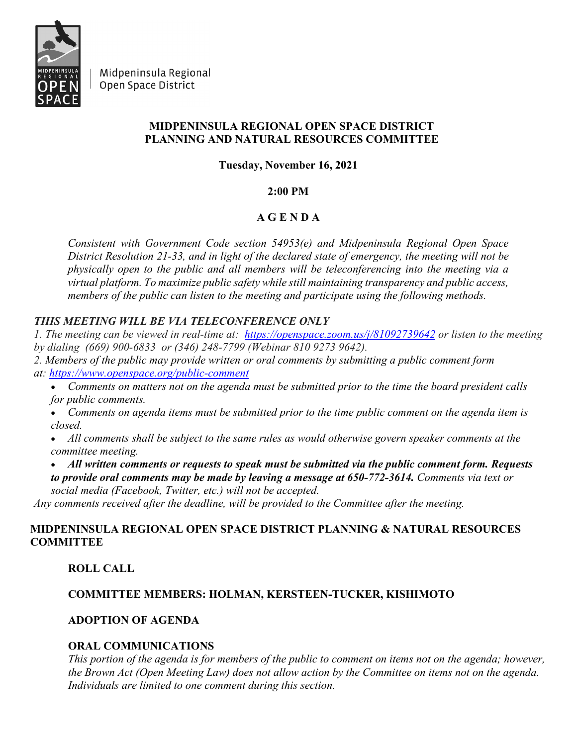

Midpeninsula Regional Open Space District

#### **MIDPENINSULA REGIONAL OPEN SPACE DISTRICT PLANNING AND NATURAL RESOURCES COMMITTEE**

**Tuesday, November 16, 2021**

#### **2:00 PM**

## **A G E N D A**

*Consistent with Government Code section 54953(e) and Midpeninsula Regional Open Space District Resolution 21-33, and in light of the declared state of emergency, the meeting will not be physically open to the public and all members will be teleconferencing into the meeting via a virtual platform. To maximize public safety while still maintaining transparency and public access, members of the public can listen to the meeting and participate using the following methods.*

# *THIS MEETING WILL BE VIA TELECONFERENCE ONLY*

*1. The meeting can be viewed in real-time at: <https://openspace.zoom.us/j/81092739642> or listen to the meeting by dialing (669) 900-6833 or (346) 248-7799 (Webinar 810 9273 9642).*

- *2. Members of the public may provide written or oral comments by submitting a public comment form at: <https://www.openspace.org/public-comment>*
	- *Comments on matters not on the agenda must be submitted prior to the time the board president calls for public comments.*
	- *Comments on agenda items must be submitted prior to the time public comment on the agenda item is closed.*
	- *All comments shall be subject to the same rules as would otherwise govern speaker comments at the committee meeting.*
	- *All written comments or requests to speak must be submitted via the public comment form. Requests to provide oral comments may be made by leaving a message at 650-772-3614. Comments via text or social media (Facebook, Twitter, etc.) will not be accepted.*

*Any comments received after the deadline, will be provided to the Committee after the meeting.*

## **MIDPENINSULA REGIONAL OPEN SPACE DISTRICT PLANNING & NATURAL RESOURCES COMMITTEE**

## **ROLL CALL**

## **COMMITTEE MEMBERS: HOLMAN, KERSTEEN-TUCKER, KISHIMOTO**

## **ADOPTION OF AGENDA**

## **ORAL COMMUNICATIONS**

*This portion of the agenda is for members of the public to comment on items not on the agenda; however, the Brown Act (Open Meeting Law) does not allow action by the Committee on items not on the agenda. Individuals are limited to one comment during this section.*